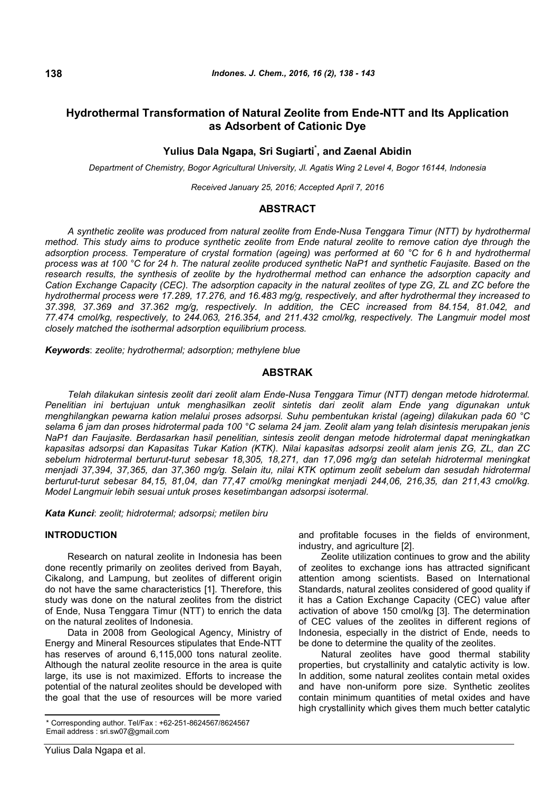# **Hydrothermal Transformation of Natural Zeolite from Ende-NTT and Its Application as Adsorbent of Cationic Dye**

# **Yulius Dala Ngapa, Sri Sugiarti\* , and Zaenal Abidin**

*Department of Chemistry, Bogor Agricultural University, Jl. Agatis Wing 2 Level 4, Bogor 16144, Indonesia*

*Received January 25, 2016; Accepted April 7, 2016*

# **ABSTRACT**

*A synthetic zeolite was produced from natural zeolite from Ende-Nusa Tenggara Timur (NTT) by hydrothermal method. This study aims to produce synthetic zeolite from Ende natural zeolite to remove cation dye through the adsorption process. Temperature of crystal formation (ageing) was performed at 60 °C for 6 h and hydrothermal process was at 100 °C for 24 h. The natural zeolite produced synthetic NaP1 and synthetic Faujasite. Based on the research results, the synthesis of zeolite by the hydrothermal method can enhance the adsorption capacity and Cation Exchange Capacity (CEC). The adsorption capacity in the natural zeolites of type ZG, ZL and ZC before the hydrothermal process were 17.289, 17.276, and 16.483 mg/g, respectively, and after hydrothermal they increased to 37.398, 37.369 and 37.362 mg/g, respectively. In addition, the CEC increased from 84.154, 81.042, and 77.474 cmol/kg, respectively, to 244.063, 216.354, and 211.432 cmol/kg, respectively. The Langmuir model most closely matched the isothermal adsorption equilibrium process.*

*Keywords*: *zeolite; hydrothermal; adsorption; methylene blue*

# **ABSTRAK**

*Telah dilakukan sintesis zeolit dari zeolit alam Ende-Nusa Tenggara Timur (NTT) dengan metode hidrotermal. Penelitian ini bertujuan untuk menghasilkan zeolit sintetis dari zeolit alam Ende yang digunakan untuk menghilangkan pewarna kation melalui proses adsorpsi. Suhu pembentukan kristal (ageing) dilakukan pada 60 °C selama 6 jam dan proses hidrotermal pada 100 °C selama 24 jam. Zeolit alam yang telah disintesis merupakan jenis NaP1 dan Faujasite. Berdasarkan hasil penelitian, sintesis zeolit dengan metode hidrotermal dapat meningkatkan kapasitas adsorpsi dan Kapasitas Tukar Kation (KTK). Nilai kapasitas adsorpsi zeolit alam jenis ZG, ZL, dan ZC sebelum hidrotermal berturut-turut sebesar 18,305, 18,271, dan 17,096 mg/g dan setelah hidrotermal meningkat menjadi 37,394, 37,365, dan 37,360 mg/g. Selain itu, nilai KTK optimum zeolit sebelum dan sesudah hidrotermal berturut-turut sebesar 84,15, 81,04, dan 77,47 cmol/kg meningkat menjadi 244,06, 216,35, dan 211,43 cmol/kg. Model Langmuir lebih sesuai untuk proses kesetimbangan adsorpsi isotermal.*

*Kata Kunci*: *zeolit; hidrotermal; adsorpsi; metilen biru*

# **INTRODUCTION**

Research on natural zeolite in Indonesia has been done recently primarily on zeolites derived from Bayah, Cikalong, and Lampung, but zeolites of different origin do not have the same characteristics [1]. Therefore, this study was done on the natural zeolites from the district of Ende, Nusa Tenggara Timur (NTT) to enrich the data on the natural zeolites of Indonesia.

Data in 2008 from Geological Agency, Ministry of Energy and Mineral Resources stipulates that Ende-NTT has reserves of around 6,115,000 tons natural zeolite. Although the natural zeolite resource in the area is quite large, its use is not maximized. Efforts to increase the potential of the natural zeolites should be developed with the goal that the use of resources will be more varied and profitable focuses in the fields of environment, industry, and agriculture [2].

Zeolite utilization continues to grow and the ability of zeolites to exchange ions has attracted significant attention among scientists. Based on International Standards, natural zeolites considered of good quality if it has a Cation Exchange Capacity (CEC) value after activation of above 150 cmol/kg [3]. The determination of CEC values of the zeolites in different regions of Indonesia, especially in the district of Ende, needs to be done to determine the quality of the zeolites.

Natural zeolites have good thermal stability properties, but crystallinity and catalytic activity is low. In addition, some natural zeolites contain metal oxides and have non-uniform pore size. Synthetic zeolites contain minimum quantities of metal oxides and have high crystallinity which gives them much better catalytic

**138**

<sup>\*</sup> Corresponding author. Tel/Fax : +62-251-8624567/8624567 Email address : sri.sw07@gmail.com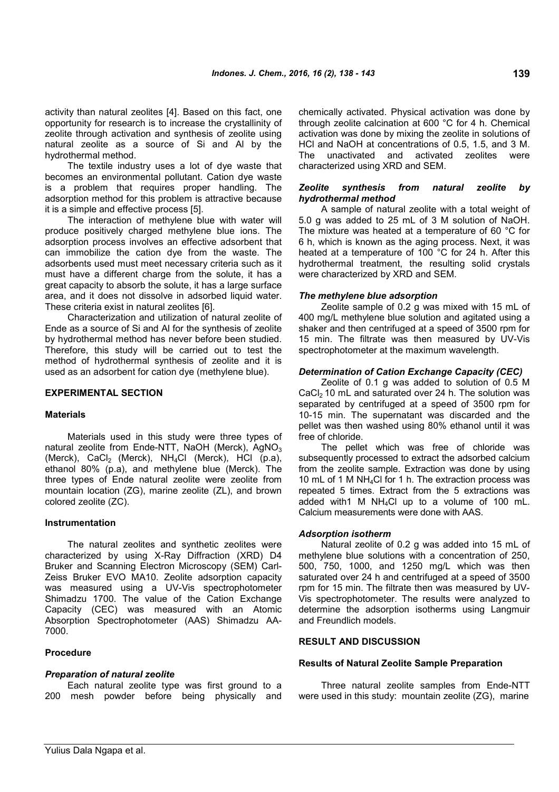activity than natural zeolites [4]. Based on this fact, one opportunity for research is to increase the crystallinity of zeolite through activation and synthesis of zeolite using natural zeolite as a source of Si and Al by the hydrothermal method.

The textile industry uses a lot of dye waste that becomes an environmental pollutant. Cation dye waste is a problem that requires proper handling. The adsorption method for this problem is attractive because it is a simple and effective process [5].

The interaction of methylene blue with water will produce positively charged methylene blue ions. The adsorption process involves an effective adsorbent that can immobilize the cation dye from the waste. The adsorbents used must meet necessary criteria such as it must have a different charge from the solute, it has a great capacity to absorb the solute, it has a large surface area, and it does not dissolve in adsorbed liquid water. These criteria exist in natural zeolites [6].

Characterization and utilization of natural zeolite of Ende as a source of Si and Al for the synthesis of zeolite by hydrothermal method has never before been studied. Therefore, this study will be carried out to test the method of hydrothermal synthesis of zeolite and it is used as an adsorbent for cation dye (methylene blue).

# **EXPERIMENTAL SECTION**

#### **Materials**

Materials used in this study were three types of natural zeolite from Ende-NTT, NaOH (Merck), AgNO<sub>3</sub> (Merck), CaCl<sub>2</sub> (Merck), NH<sub>4</sub>Cl (Merck), HCl (p.a), ethanol 80% (p.a), and methylene blue (Merck). The three types of Ende natural zeolite were zeolite from mountain location (ZG), marine zeolite (ZL), and brown colored zeolite (ZC).

#### **Instrumentation**

The natural zeolites and synthetic zeolites were characterized by using X-Ray Diffraction (XRD) D4 Bruker and Scanning Electron Microscopy (SEM) Carl-Zeiss Bruker EVO MA10. Zeolite adsorption capacity was measured using a UV-Vis spectrophotometer Shimadzu 1700. The value of the Cation Exchange Capacity (CEC) was measured with an Atomic Absorption Spectrophotometer (AAS) Shimadzu AA-7000.

# **Procedure**

#### *Preparation of natural zeolite*

Each natural zeolite type was first ground to a 200 mesh powder before being physically and chemically activated. Physical activation was done by through zeolite calcination at 600 °C for 4 h. Chemical activation was done by mixing the zeolite in solutions of HCl and NaOH at concentrations of 0.5, 1.5, and 3 M. The unactivated and activated zeolites were characterized using XRD and SEM.

### *Zeolite synthesis from natural zeolite by hydrothermal method*

A sample of natural zeolite with a total weight of 5.0 g was added to 25 mL of 3 M solution of NaOH. The mixture was heated at a temperature of 60 °C for 6 h, which is known as the aging process. Next, it was heated at a temperature of 100 °C for 24 h. After this hydrothermal treatment, the resulting solid crystals were characterized by XRD and SEM.

#### *The methylene blue adsorption*

Zeolite sample of 0.2 g was mixed with 15 mL of 400 mg/L methylene blue solution and agitated using a shaker and then centrifuged at a speed of 3500 rpm for 15 min. The filtrate was then measured by UV-Vis spectrophotometer at the maximum wavelength.

### *Determination of Cation Exchange Capacity (CEC)*

Zeolite of 0.1 g was added to solution of 0.5 M CaCl<sub>2</sub> 10 mL and saturated over 24 h. The solution was separated by centrifuged at a speed of 3500 rpm for 10-15 min. The supernatant was discarded and the pellet was then washed using 80% ethanol until it was free of chloride.

The pellet which was free of chloride was subsequently processed to extract the adsorbed calcium from the zeolite sample. Extraction was done by using 10 mL of 1 M NH<sub>4</sub>Cl for 1 h. The extraction process was repeated 5 times. Extract from the 5 extractions was added with1 M NH4Cl up to a volume of 100 mL. Calcium measurements were done with AAS.

### *Adsorption isotherm*

Natural zeolite of 0.2 g was added into 15 mL of methylene blue solutions with a concentration of 250, 500, 750, 1000, and 1250 mg/L which was then saturated over 24 h and centrifuged at a speed of 3500 rpm for 15 min. The filtrate then was measured by UV-Vis spectrophotometer. The results were analyzed to determine the adsorption isotherms using Langmuir and Freundlich models.

# **RESULT AND DISCUSSION**

#### **Results of Natural Zeolite Sample Preparation**

Three natural zeolite samples from Ende-NTT were used in this study: mountain zeolite (ZG), marine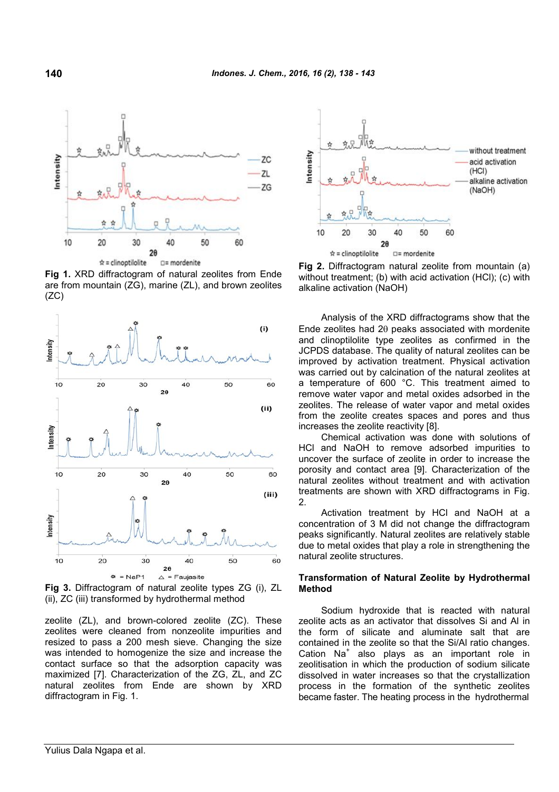

**Fig 1.** XRD diffractogram of natural zeolites from Ende are from mountain (ZG), marine (ZL), and brown zeolites  $(ZC)$ 



**Fig 3.** Diffractogram of natural zeolite types ZG (i), ZL (ii), ZC (iii) transformed by hydrothermal method

zeolite (ZL), and brown-colored zeolite (ZC). These zeolites were cleaned from nonzeolite impurities and resized to pass a 200 mesh sieve. Changing the size was intended to homogenize the size and increase the contact surface so that the adsorption capacity was maximized [7]. Characterization of the ZG, ZL, and ZC natural zeolites from Ende are shown by XRD diffractogram in Fig. 1.



**Fig 2.** Diffractogram natural zeolite from mountain (a) without treatment; (b) with acid activation (HCl); (c) with alkaline activation (NaOH)

Analysis of the XRD diffractograms show that the Ende zeolites had 2 $\theta$  peaks associated with mordenite and clinoptilolite type zeolites as confirmed in the JCPDS database. The quality of natural zeolites can be improved by activation treatment. Physical activation was carried out by calcination of the natural zeolites at a temperature of 600 °C. This treatment aimed to remove water vapor and metal oxides adsorbed in the zeolites. The release of water vapor and metal oxides from the zeolite creates spaces and pores and thus increases the zeolite reactivity [8].

Chemical activation was done with solutions of HCl and NaOH to remove adsorbed impurities to uncover the surface of zeolite in order to increase the porosity and contact area [9]. Characterization of the natural zeolites without treatment and with activation treatments are shown with XRD diffractograms in Fig. 2.

Activation treatment by HCl and NaOH at a concentration of 3 M did not change the diffractogram peaks significantly. Natural zeolites are relatively stable due to metal oxides that play a role in strengthening the natural zeolite structures.

#### **Transformation of Natural Zeolite by Hydrothermal Method**

Sodium hydroxide that is reacted with natural zeolite acts as an activator that dissolves Si and Al in the form of silicate and aluminate salt that are contained in the zeolite so that the Si/Al ratio changes. Cation Na<sup>+</sup> also plays as an important role in zeolitisation in which the production of sodium silicate dissolved in water increases so that the crystallization process in the formation of the synthetic zeolites became faster. The heating process in the hydrothermal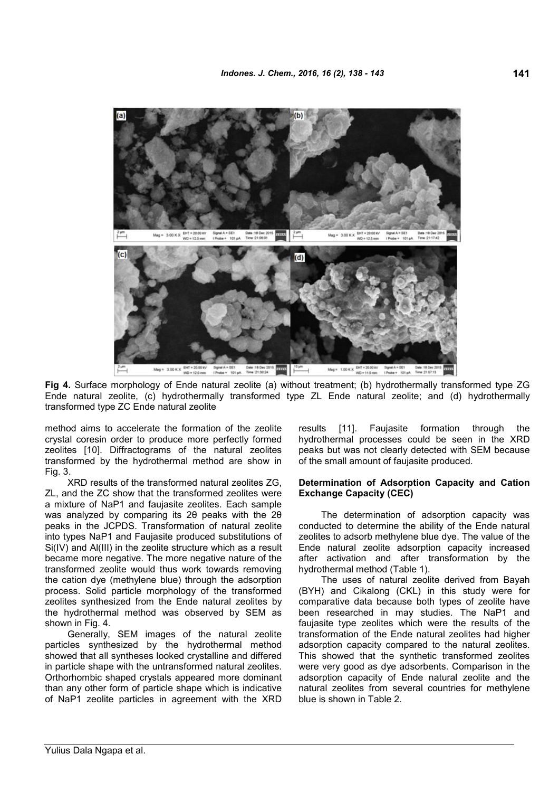

**Fig 4.** Surface morphology of Ende natural zeolite (a) without treatment; (b) hydrothermally transformed type ZG Ende natural zeolite, (c) hydrothermally transformed type ZL Ende natural zeolite; and (d) hydrothermally transformed type ZC Ende natural zeolite

method aims to accelerate the formation of the zeolite crystal coresin order to produce more perfectly formed zeolites [10]. Diffractograms of the natural zeolites transformed by the hydrothermal method are show in Fig. 3.

XRD results of the transformed natural zeolites ZG, ZL, and the ZC show that the transformed zeolites were a mixture of NaP1 and faujasite zeolites. Each sample was analyzed by comparing its 2θ peaks with the 2θ peaks in the JCPDS. Transformation of natural zeolite into types NaP1 and Faujasite produced substitutions of Si(IV) and Al(III) in the zeolite structure which as a result became more negative. The more negative nature of the transformed zeolite would thus work towards removing the cation dye (methylene blue) through the adsorption process. Solid particle morphology of the transformed zeolites synthesized from the Ende natural zeolites by the hydrothermal method was observed by SEM as shown in Fig. 4.

Generally, SEM images of the natural zeolite particles synthesized by the hydrothermal method showed that all syntheses looked crystalline and differed in particle shape with the untransformed natural zeolites. Orthorhombic shaped crystals appeared more dominant than any other form of particle shape which is indicative of NaP1 zeolite particles in agreement with the XRD results [11]. Faujasite formation through the hydrothermal processes could be seen in the XRD peaks but was not clearly detected with SEM because of the small amount of faujasite produced.

### **Determination of Adsorption Capacity and Cation Exchange Capacity (CEC)**

The determination of adsorption capacity was conducted to determine the ability of the Ende natural zeolites to adsorb methylene blue dye. The value of the Ende natural zeolite adsorption capacity increased after activation and after transformation by the hydrothermal method (Table 1).

The uses of natural zeolite derived from Bayah (BYH) and Cikalong (CKL) in this study were for comparative data because both types of zeolite have been researched in may studies. The NaP1 and faujasite type zeolites which were the results of the transformation of the Ende natural zeolites had higher adsorption capacity compared to the natural zeolites. This showed that the synthetic transformed zeolites were very good as dye adsorbents. Comparison in the adsorption capacity of Ende natural zeolite and the natural zeolites from several countries for methylene blue is shown in Table 2.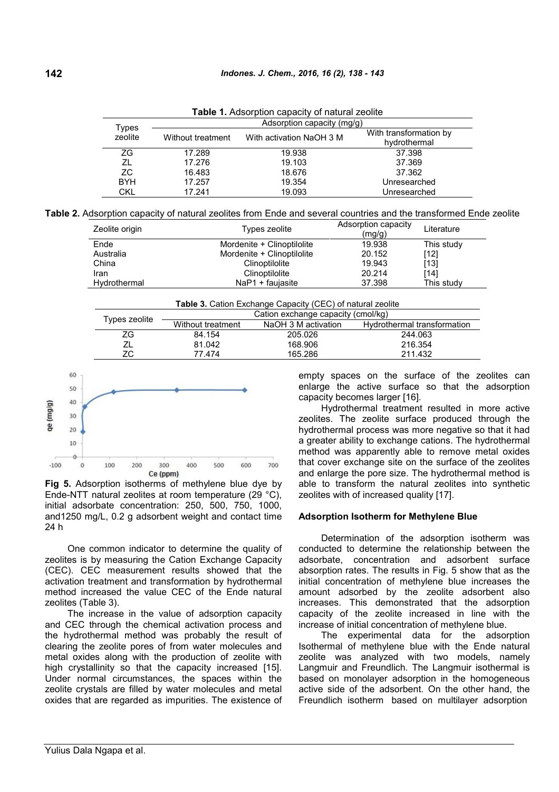| Types<br>zeolite | Adsorption capacity (mg/g) |                          |                                        |  |  |  |
|------------------|----------------------------|--------------------------|----------------------------------------|--|--|--|
|                  | Without treatment          | With activation NaOH 3 M | With transformation by<br>hydrothermal |  |  |  |
| ΖG               | 17.289                     | 19.938                   | 37.398                                 |  |  |  |
| ΖL               | 17.276                     | 19.103                   | 37.369                                 |  |  |  |
| ZC.              | 16.483                     | 18.676                   | 37.362                                 |  |  |  |
| <b>BYH</b>       | 17.257                     | 19.354                   | Unresearched                           |  |  |  |
| CKL              | 17.241                     | 19.093                   | Unresearched                           |  |  |  |

**Table 1.** Adsorption capacity of natural zeolite

| Zeolite origin | Types zeolite              | Adsorption capacity<br>(mq/q) | Literature |
|----------------|----------------------------|-------------------------------|------------|
| Ende           | Mordenite + Clinoptilolite | 19.938                        | This study |
| Australia      | Mordenite + Clinoptilolite | 20.152                        | $[12]$     |
| China          | Clinoptilolite             | 19.943                        | [13]       |
| Iran           | Clinoptilolite             | 20.214                        | [14]       |
| Hvdrothermal   | $NaP1 + fauiasite$         | 37.398                        | This studv |

**Table 3.** Cation Exchange Capacity (CEC) of natural zeolite

|               | Cation exchange capacity (cmol/kg) |                     |                             |  |  |
|---------------|------------------------------------|---------------------|-----------------------------|--|--|
| Types zeolite | Without treatment                  | NaOH 3 M activation | Hydrothermal transformation |  |  |
| ΖG            | 84.154                             | 205.026             | 244.063                     |  |  |
|               | 81.042                             | 168.906             | 216.354                     |  |  |
| ΖC            | 77.474                             | 165.286             | 211.432                     |  |  |



**Fig 5.** Adsorption isotherms of methylene blue dye by Ende-NTT natural zeolites at room temperature (29 °C), initial adsorbate concentration: 250, 500, 750, 1000, and1250 mg/L, 0.2 g adsorbent weight and contact time 24 h

One common indicator to determine the quality of zeolites is by measuring the Cation Exchange Capacity (CEC). CEC measurement results showed that the activation treatment and transformation by hydrothermal method increased the value CEC of the Ende natural zeolites (Table 3).

The increase in the value of adsorption capacity and CEC through the chemical activation process and the hydrothermal method was probably the result of clearing the zeolite pores of from water molecules and metal oxides along with the production of zeolite with high crystallinity so that the capacity increased [15]. Under normal circumstances, the spaces within the zeolite crystals are filled by water molecules and metal oxides that are regarded as impurities. The existence of empty spaces on the surface of the zeolites can enlarge the active surface so that the adsorption capacity becomes larger [16].

Hydrothermal treatment resulted in more active zeolites. The zeolite surface produced through the hydrothermal process was more negative so that it had a greater ability to exchange cations. The hydrothermal method was apparently able to remove metal oxides that cover exchange site on the surface of the zeolites and enlarge the pore size. The hydrothermal method is able to transform the natural zeolites into synthetic zeolites with of increased quality [17].

#### **Adsorption Isotherm for Methylene Blue**

Determination of the adsorption isotherm was conducted to determine the relationship between the adsorbate, concentration and adsorbent surface absorption rates. The results in Fig. 5 show that as the initial concentration of methylene blue increases the amount adsorbed by the zeolite adsorbent also increases. This demonstrated that the adsorption capacity of the zeolite increased in line with the increase of initial concentration of methylene blue.

The experimental data for the adsorption Isothermal of methylene blue with the Ende natural zeolite was analyzed with two models, namely Langmuir and Freundlich. The Langmuir isothermal is based on monolayer adsorption in the homogeneous active side of the adsorbent. On the other hand, the Freundlich isotherm based on multilayer adsorption